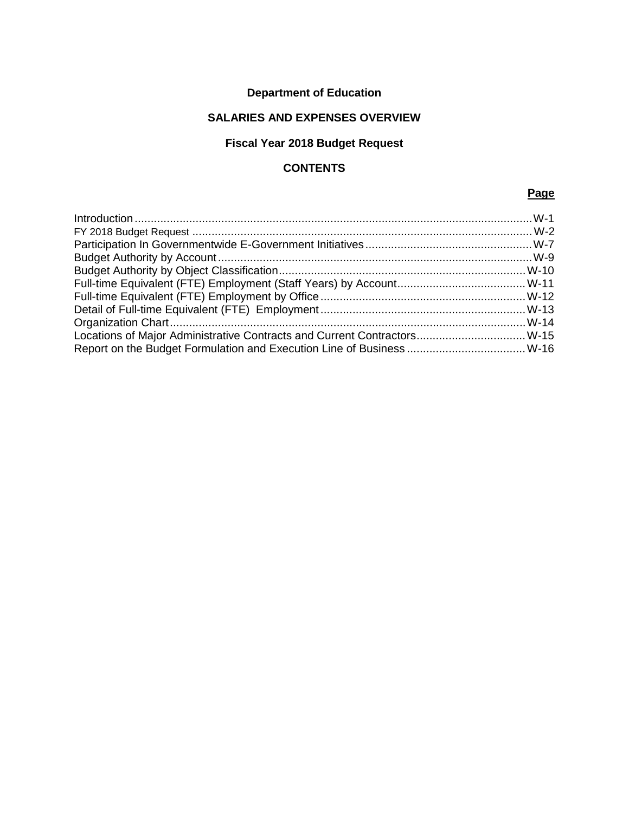# **Department of Education**

# **SALARIES AND EXPENSES OVERVIEW**

# **Fiscal Year 2018 Budget Request**

# **CONTENTS**

#### **Page**

| Locations of Major Administrative Contracts and Current Contractors W-15 |  |
|--------------------------------------------------------------------------|--|
|                                                                          |  |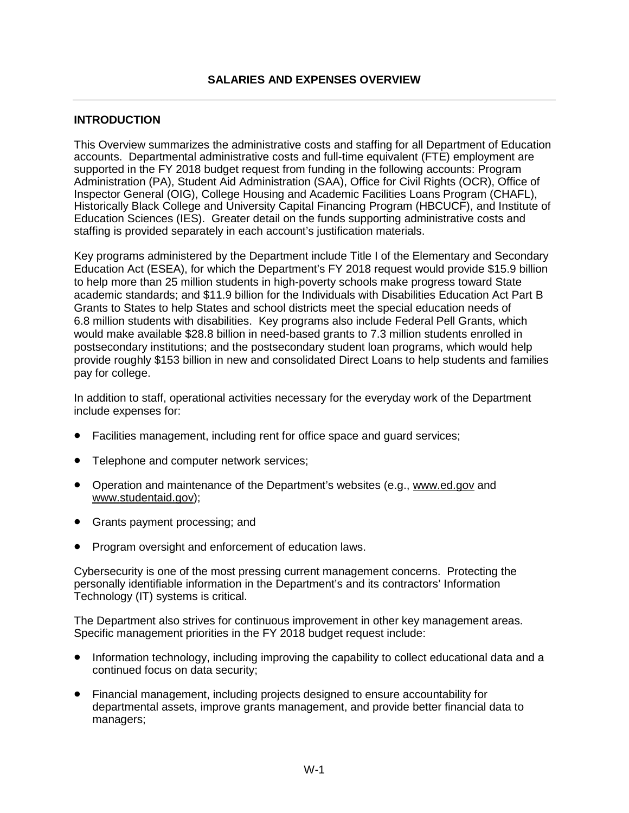#### <span id="page-1-0"></span>**INTRODUCTION**

This Overview summarizes the administrative costs and staffing for all Department of Education accounts. Departmental administrative costs and full-time equivalent (FTE) employment are supported in the FY 2018 budget request from funding in the following accounts: Program Administration (PA), Student Aid Administration (SAA), Office for Civil Rights (OCR), Office of Inspector General (OIG), College Housing and Academic Facilities Loans Program (CHAFL), Historically Black College and University Capital Financing Program (HBCUCF), and Institute of Education Sciences (IES). Greater detail on the funds supporting administrative costs and staffing is provided separately in each account's justification materials.

Key programs administered by the Department include Title I of the Elementary and Secondary Education Act (ESEA), for which the Department's FY 2018 request would provide \$15.9 billion to help more than 25 million students in high-poverty schools make progress toward State academic standards; and \$11.9 billion for the Individuals with Disabilities Education Act Part B Grants to States to help States and school districts meet the special education needs of 6.8 million students with disabilities. Key programs also include Federal Pell Grants, which would make available \$28.8 billion in need-based grants to 7.3 million students enrolled in postsecondary institutions; and the postsecondary student loan programs, which would help provide roughly \$153 billion in new and consolidated Direct Loans to help students and families pay for college.

In addition to staff, operational activities necessary for the everyday work of the Department include expenses for:

- Facilities management, including rent for office space and guard services;
- Telephone and computer network services;
- Operation and maintenance of the Department's websites (e.g., [www.ed.gov](http://www.ed.gov/) and [www.studentaid.gov\)](http://www.studentaid.gov/);
- Grants payment processing; and
- Program oversight and enforcement of education laws.

Cybersecurity is one of the most pressing current management concerns. Protecting the personally identifiable information in the Department's and its contractors' Information Technology (IT) systems is critical.

The Department also strives for continuous improvement in other key management areas. Specific management priorities in the FY 2018 budget request include:

- Information technology, including improving the capability to collect educational data and a continued focus on data security;
- Financial management, including projects designed to ensure accountability for departmental assets, improve grants management, and provide better financial data to managers;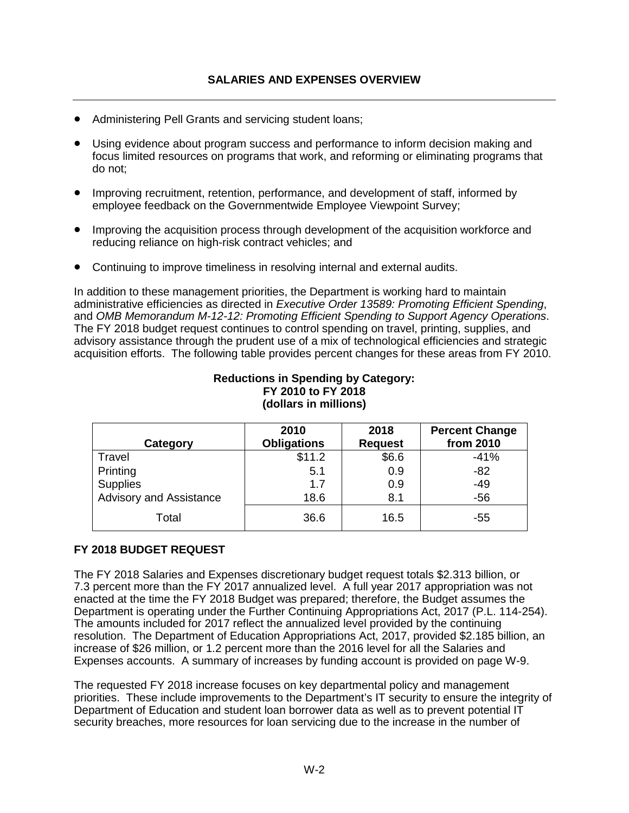- Administering Pell Grants and servicing student loans;
- Using evidence about program success and performance to inform decision making and focus limited resources on programs that work, and reforming or eliminating programs that do not;
- Improving recruitment, retention, performance, and development of staff, informed by employee feedback on the Governmentwide Employee Viewpoint Survey;
- Improving the acquisition process through development of the acquisition workforce and reducing reliance on high-risk contract vehicles; and
- Continuing to improve timeliness in resolving internal and external audits.

In addition to these management priorities, the Department is working hard to maintain administrative efficiencies as directed in *Executive Order 13589: Promoting Efficient Spending*, and *OMB Memorandum M-12-12: Promoting Efficient Spending to Support Agency Operations*. The FY 2018 budget request continues to control spending on travel, printing, supplies, and advisory assistance through the prudent use of a mix of technological efficiencies and strategic acquisition efforts. The following table provides percent changes for these areas from FY 2010.

#### **Reductions in Spending by Category: FY 2010 to FY 2018 (dollars in millions)**

| Category                       | 2010<br><b>Obligations</b> | 2018<br><b>Request</b> | <b>Percent Change</b><br>from 2010 |
|--------------------------------|----------------------------|------------------------|------------------------------------|
| Travel                         | \$11.2                     | \$6.6                  | $-41%$                             |
| Printing                       | 5.1                        | 0.9                    | $-82$                              |
| <b>Supplies</b>                | 1.7                        | 0.9                    | $-49$                              |
| <b>Advisory and Assistance</b> | 18.6                       | 8.1                    | $-56$                              |
| Total                          | 36.6                       | 16.5                   | -55                                |

#### <span id="page-2-0"></span>**FY 2018 BUDGET REQUEST**

The FY 2018 Salaries and Expenses discretionary budget request totals \$2.313 billion, or 7.3 percent more than the FY 2017 annualized level. A full year 2017 appropriation was not enacted at the time the FY 2018 Budget was prepared; therefore, the Budget assumes the Department is operating under the Further Continuing Appropriations Act, 2017 (P.L. 114-254). The amounts included for 2017 reflect the annualized level provided by the continuing resolution. The Department of Education Appropriations Act, 2017, provided \$2.185 billion, an increase of \$26 million, or 1.2 percent more than the 2016 level for all the Salaries and Expenses accounts. A summary of increases by funding account is provided on page W-9.

The requested FY 2018 increase focuses on key departmental policy and management priorities. These include improvements to the Department's IT security to ensure the integrity of Department of Education and student loan borrower data as well as to prevent potential IT security breaches, more resources for loan servicing due to the increase in the number of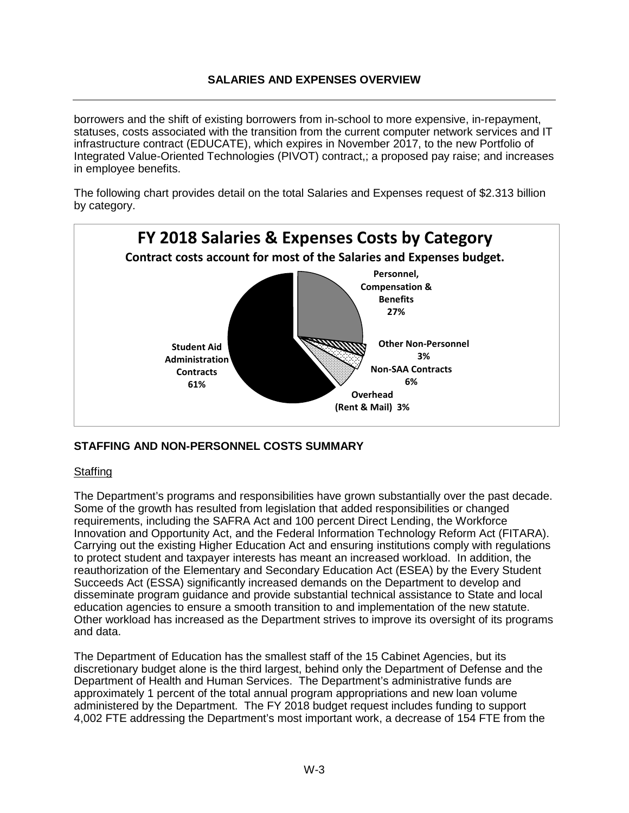borrowers and the shift of existing borrowers from in-school to more expensive, in-repayment, statuses, costs associated with the transition from the current computer network services and IT infrastructure contract (EDUCATE), which expires in November 2017, to the new Portfolio of Integrated Value-Oriented Technologies (PIVOT) contract,; a proposed pay raise; and increases in employee benefits.

The following chart provides detail on the total Salaries and Expenses request of \$2.313 billion by category.



#### **STAFFING AND NON-PERSONNEL COSTS SUMMARY**

#### **Staffing**

The Department's programs and responsibilities have grown substantially over the past decade. Some of the growth has resulted from legislation that added responsibilities or changed requirements, including the SAFRA Act and 100 percent Direct Lending, the Workforce Innovation and Opportunity Act, and the Federal Information Technology Reform Act (FITARA). Carrying out the existing Higher Education Act and ensuring institutions comply with regulations to protect student and taxpayer interests has meant an increased workload. In addition, the reauthorization of the Elementary and Secondary Education Act (ESEA) by the Every Student Succeeds Act (ESSA) significantly increased demands on the Department to develop and disseminate program guidance and provide substantial technical assistance to State and local education agencies to ensure a smooth transition to and implementation of the new statute. Other workload has increased as the Department strives to improve its oversight of its programs and data.

The Department of Education has the smallest staff of the 15 Cabinet Agencies, but its discretionary budget alone is the third largest, behind only the Department of Defense and the Department of Health and Human Services. The Department's administrative funds are approximately 1 percent of the total annual program appropriations and new loan volume administered by the Department. The FY 2018 budget request includes funding to support 4,002 FTE addressing the Department's most important work, a decrease of 154 FTE from the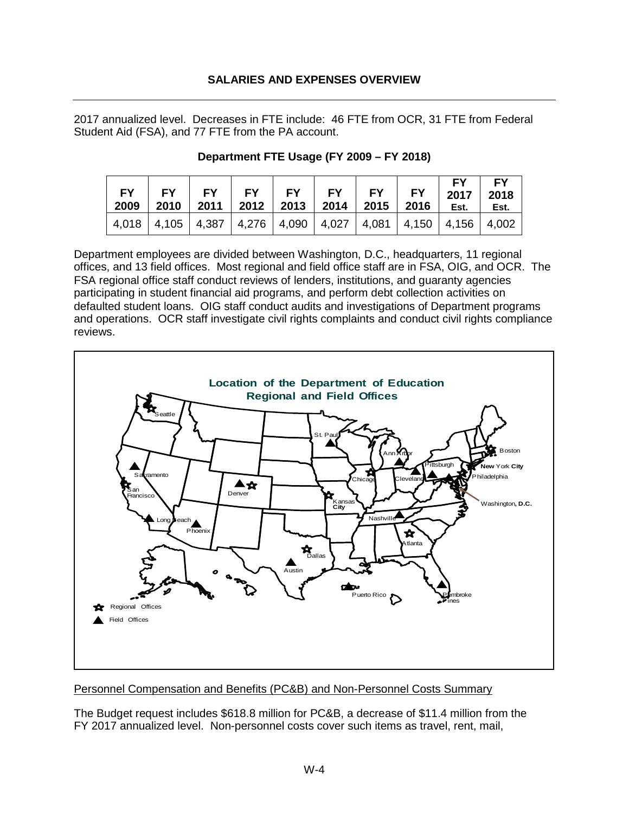2017 annualized level. Decreases in FTE include: 46 FTE from OCR, 31 FTE from Federal Student Aid (FSA), and 77 FTE from the PA account.

| $FY$ $FY$                                                                     | $\blacksquare$ $\blacksquare$ FY<br>2009   2010   2011   2012   2013   2014   2015   2016 |  | FY   FY   FY   FY   FY   2017   2018 | FY I<br>Est. | FY<br>Est. |
|-------------------------------------------------------------------------------|-------------------------------------------------------------------------------------------|--|--------------------------------------|--------------|------------|
| 4,018   4,105   4,387   4,276   4,090   4,027   4,081   4,150   4,156   4,002 |                                                                                           |  |                                      |              |            |

#### **Department FTE Usage (FY 2009 – FY 2018)**

Department employees are divided between Washington, D.C., headquarters, 11 regional offices, and 13 field offices. Most regional and field office staff are in FSA, OIG, and OCR. The FSA regional office staff conduct reviews of lenders, institutions, and guaranty agencies participating in student financial aid programs, and perform debt collection activities on defaulted student loans. OIG staff conduct audits and investigations of Department programs and operations. OCR staff investigate civil rights complaints and conduct civil rights compliance reviews.



Personnel Compensation and Benefits (PC&B) and Non-Personnel Costs Summary

The Budget request includes \$618.8 million for PC&B, a decrease of \$11.4 million from the FY 2017 annualized level. Non-personnel costs cover such items as travel, rent, mail,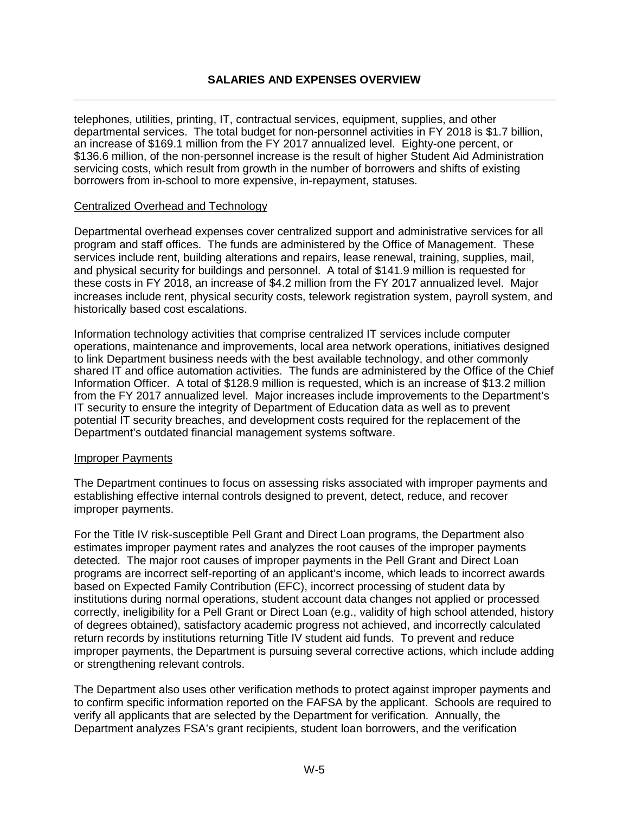telephones, utilities, printing, IT, contractual services, equipment, supplies, and other departmental services. The total budget for non-personnel activities in FY 2018 is \$1.7 billion, an increase of \$169.1 million from the FY 2017 annualized level. Eighty-one percent, or \$136.6 million, of the non-personnel increase is the result of higher Student Aid Administration servicing costs, which result from growth in the number of borrowers and shifts of existing borrowers from in-school to more expensive, in-repayment, statuses.

#### Centralized Overhead and Technology

Departmental overhead expenses cover centralized support and administrative services for all program and staff offices. The funds are administered by the Office of Management. These services include rent, building alterations and repairs, lease renewal, training, supplies, mail, and physical security for buildings and personnel. A total of \$141.9 million is requested for these costs in FY 2018, an increase of \$4.2 million from the FY 2017 annualized level. Major increases include rent, physical security costs, telework registration system, payroll system, and historically based cost escalations.

Information technology activities that comprise centralized IT services include computer operations, maintenance and improvements, local area network operations, initiatives designed to link Department business needs with the best available technology, and other commonly shared IT and office automation activities. The funds are administered by the Office of the Chief Information Officer. A total of \$128.9 million is requested, which is an increase of \$13.2 million from the FY 2017 annualized level. Major increases include improvements to the Department's IT security to ensure the integrity of Department of Education data as well as to prevent potential IT security breaches, and development costs required for the replacement of the Department's outdated financial management systems software.

#### Improper Payments

The Department continues to focus on assessing risks associated with improper payments and establishing effective internal controls designed to prevent, detect, reduce, and recover improper payments.

For the Title IV risk-susceptible Pell Grant and Direct Loan programs, the Department also estimates improper payment rates and analyzes the root causes of the improper payments detected. The major root causes of improper payments in the Pell Grant and Direct Loan programs are incorrect self-reporting of an applicant's income, which leads to incorrect awards based on Expected Family Contribution (EFC), incorrect processing of student data by institutions during normal operations, student account data changes not applied or processed correctly, ineligibility for a Pell Grant or Direct Loan (e.g., validity of high school attended, history of degrees obtained), satisfactory academic progress not achieved, and incorrectly calculated return records by institutions returning Title IV student aid funds. To prevent and reduce improper payments, the Department is pursuing several corrective actions, which include adding or strengthening relevant controls.

The Department also uses other verification methods to protect against improper payments and to confirm specific information reported on the FAFSA by the applicant. Schools are required to verify all applicants that are selected by the Department for verification. Annually, the Department analyzes FSA's grant recipients, student loan borrowers, and the verification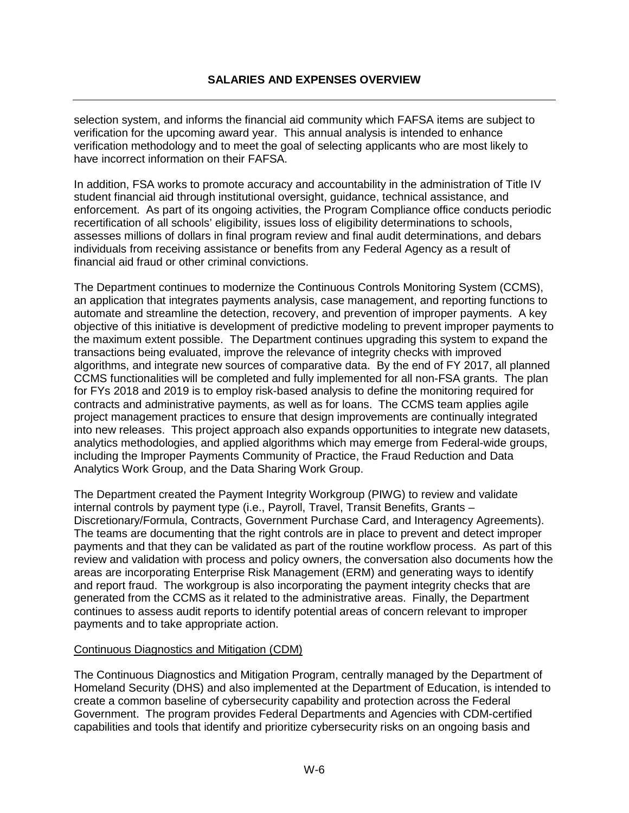selection system, and informs the financial aid community which FAFSA items are subject to verification for the upcoming award year. This annual analysis is intended to enhance verification methodology and to meet the goal of selecting applicants who are most likely to have incorrect information on their FAFSA.

In addition, FSA works to promote accuracy and accountability in the administration of Title IV student financial aid through institutional oversight, guidance, technical assistance, and enforcement. As part of its ongoing activities, the Program Compliance office conducts periodic recertification of all schools' eligibility, issues loss of eligibility determinations to schools, assesses millions of dollars in final program review and final audit determinations, and debars individuals from receiving assistance or benefits from any Federal Agency as a result of financial aid fraud or other criminal convictions.

The Department continues to modernize the Continuous Controls Monitoring System (CCMS), an application that integrates payments analysis, case management, and reporting functions to automate and streamline the detection, recovery, and prevention of improper payments. A key objective of this initiative is development of predictive modeling to prevent improper payments to the maximum extent possible. The Department continues upgrading this system to expand the transactions being evaluated, improve the relevance of integrity checks with improved algorithms, and integrate new sources of comparative data. By the end of FY 2017, all planned CCMS functionalities will be completed and fully implemented for all non-FSA grants. The plan for FYs 2018 and 2019 is to employ risk-based analysis to define the monitoring required for contracts and administrative payments, as well as for loans. The CCMS team applies agile project management practices to ensure that design improvements are continually integrated into new releases. This project approach also expands opportunities to integrate new datasets, analytics methodologies, and applied algorithms which may emerge from Federal-wide groups, including the Improper Payments Community of Practice, the Fraud Reduction and Data Analytics Work Group, and the Data Sharing Work Group.

The Department created the Payment Integrity Workgroup (PIWG) to review and validate internal controls by payment type (i.e., Payroll, Travel, Transit Benefits, Grants – Discretionary/Formula, Contracts, Government Purchase Card, and Interagency Agreements). The teams are documenting that the right controls are in place to prevent and detect improper payments and that they can be validated as part of the routine workflow process. As part of this review and validation with process and policy owners, the conversation also documents how the areas are incorporating Enterprise Risk Management (ERM) and generating ways to identify and report fraud. The workgroup is also incorporating the payment integrity checks that are generated from the CCMS as it related to the administrative areas. Finally, the Department continues to assess audit reports to identify potential areas of concern relevant to improper payments and to take appropriate action.

#### Continuous Diagnostics and Mitigation (CDM)

The Continuous Diagnostics and Mitigation Program, centrally managed by the Department of Homeland Security (DHS) and also implemented at the Department of Education, is intended to create a common baseline of cybersecurity capability and protection across the Federal Government. The program provides Federal Departments and Agencies with CDM-certified capabilities and tools that identify and prioritize cybersecurity risks on an ongoing basis and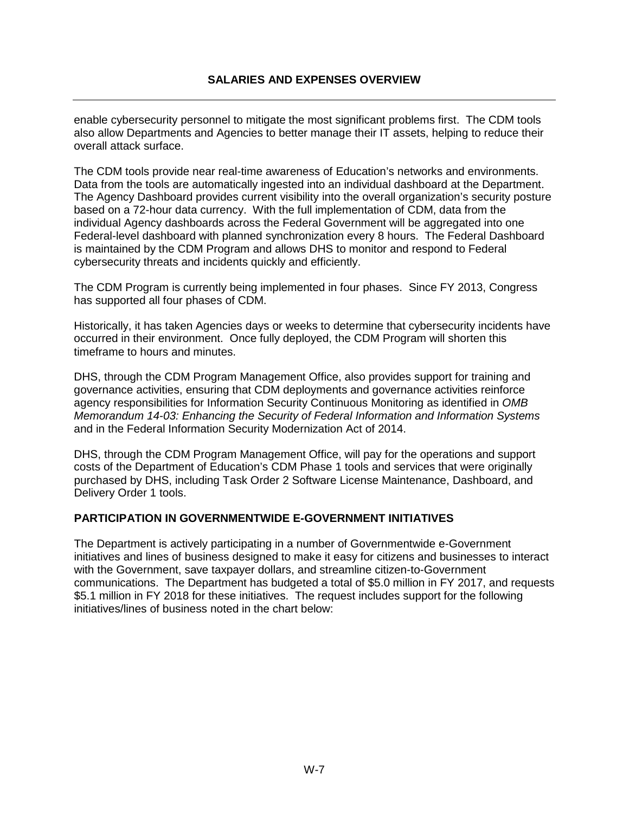enable cybersecurity personnel to mitigate the most significant problems first. The CDM tools also allow Departments and Agencies to better manage their IT assets, helping to reduce their overall attack surface.

The CDM tools provide near real-time awareness of Education's networks and environments. Data from the tools are automatically ingested into an individual dashboard at the Department. The Agency Dashboard provides current visibility into the overall organization's security posture based on a 72-hour data currency. With the full implementation of CDM, data from the individual Agency dashboards across the Federal Government will be aggregated into one Federal-level dashboard with planned synchronization every 8 hours. The Federal Dashboard is maintained by the CDM Program and allows DHS to monitor and respond to Federal cybersecurity threats and incidents quickly and efficiently.

The CDM Program is currently being implemented in four phases. Since FY 2013, Congress has supported all four phases of CDM.

Historically, it has taken Agencies days or weeks to determine that cybersecurity incidents have occurred in their environment. Once fully deployed, the CDM Program will shorten this timeframe to hours and minutes.

DHS, through the CDM Program Management Office, also provides support for training and governance activities, ensuring that CDM deployments and governance activities reinforce agency responsibilities for Information Security Continuous Monitoring as identified in *OMB Memorandum 14-03: Enhancing the Security of Federal Information and Information Systems* and in the Federal Information Security Modernization Act of 2014.

DHS, through the CDM Program Management Office, will pay for the operations and support costs of the Department of Education's CDM Phase 1 tools and services that were originally purchased by DHS, including Task Order 2 Software License Maintenance, Dashboard, and Delivery Order 1 tools.

#### <span id="page-7-0"></span>**PARTICIPATION IN GOVERNMENTWIDE E-GOVERNMENT INITIATIVES**

The Department is actively participating in a number of Governmentwide e-Government initiatives and lines of business designed to make it easy for citizens and businesses to interact with the Government, save taxpayer dollars, and streamline citizen-to-Government communications. The Department has budgeted a total of \$5.0 million in FY 2017, and requests \$5.1 million in FY 2018 for these initiatives. The request includes support for the following initiatives/lines of business noted in the chart below: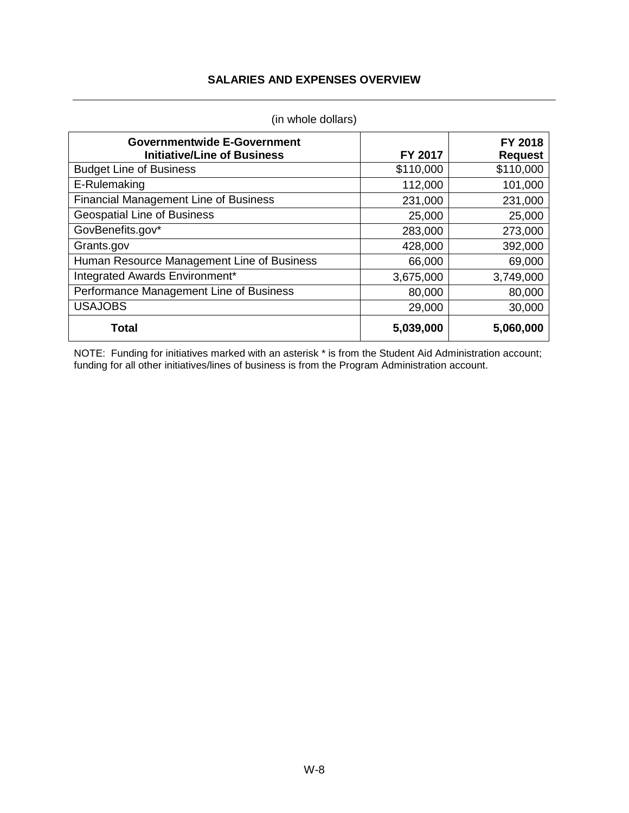| <b>Governmentwide E-Government</b><br><b>Initiative/Line of Business</b> | FY 2017   | FY 2018<br><b>Request</b> |
|--------------------------------------------------------------------------|-----------|---------------------------|
| <b>Budget Line of Business</b>                                           | \$110,000 | \$110,000                 |
| E-Rulemaking                                                             | 112,000   | 101,000                   |
| <b>Financial Management Line of Business</b>                             | 231,000   | 231,000                   |
| <b>Geospatial Line of Business</b>                                       | 25,000    | 25,000                    |
| GovBenefits.gov*                                                         | 283,000   | 273,000                   |
| Grants.gov                                                               | 428,000   | 392,000                   |
| Human Resource Management Line of Business                               | 66,000    | 69,000                    |
| Integrated Awards Environment*                                           | 3,675,000 | 3,749,000                 |
| Performance Management Line of Business                                  | 80,000    | 80,000                    |
| <b>USAJOBS</b>                                                           | 29,000    | 30,000                    |
| <b>Total</b>                                                             | 5,039,000 | 5,060,000                 |

(in whole dollars)

NOTE: Funding for initiatives marked with an asterisk \* is from the Student Aid Administration account; funding for all other initiatives/lines of business is from the Program Administration account.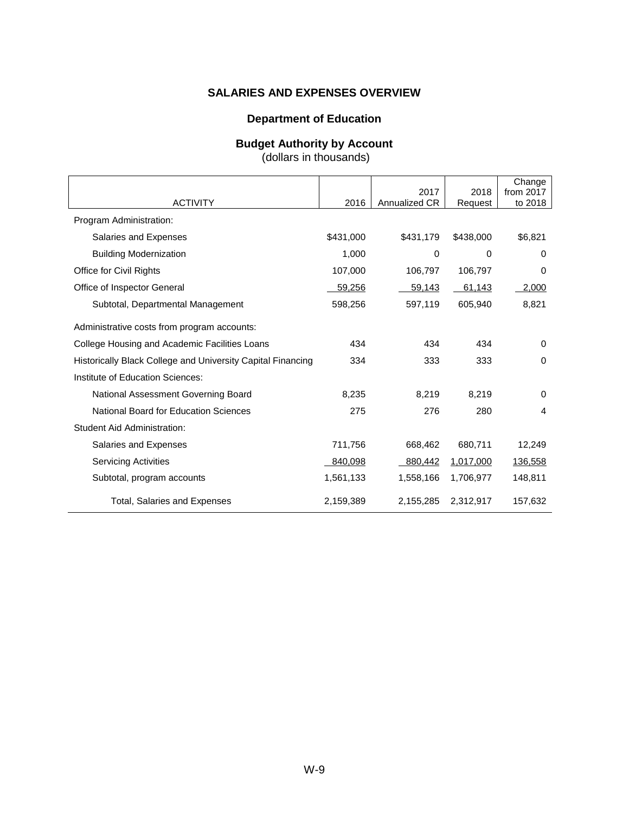#### **Department of Education**

#### **Budget Authority by Account**

(dollars in thousands)

<span id="page-9-0"></span>

|                                                             |           |                       |                 | Change               |
|-------------------------------------------------------------|-----------|-----------------------|-----------------|----------------------|
| <b>ACTIVITY</b>                                             | 2016      | 2017<br>Annualized CR | 2018<br>Request | from 2017<br>to 2018 |
| Program Administration:                                     |           |                       |                 |                      |
| Salaries and Expenses                                       | \$431,000 | \$431,179             | \$438,000       | \$6,821              |
| <b>Building Modernization</b>                               | 1,000     | 0                     | 0               | $\Omega$             |
| Office for Civil Rights                                     | 107,000   | 106,797               | 106,797         | 0                    |
| Office of Inspector General                                 | 59,256    | 59,143                | 61,143          | 2,000                |
| Subtotal, Departmental Management                           | 598,256   | 597,119               | 605,940         | 8,821                |
| Administrative costs from program accounts:                 |           |                       |                 |                      |
| College Housing and Academic Facilities Loans               | 434       | 434                   | 434             | $\Omega$             |
| Historically Black College and University Capital Financing | 334       | 333                   | 333             | $\Omega$             |
| Institute of Education Sciences:                            |           |                       |                 |                      |
| National Assessment Governing Board                         | 8,235     | 8,219                 | 8,219           | 0                    |
| <b>National Board for Education Sciences</b>                | 275       | 276                   | 280             | 4                    |
| <b>Student Aid Administration:</b>                          |           |                       |                 |                      |
| Salaries and Expenses                                       | 711,756   | 668,462               | 680,711         | 12,249               |
| <b>Servicing Activities</b>                                 | 840,098   | 880,442               | 1,017,000       | 136,558              |
| Subtotal, program accounts                                  | 1,561,133 | 1,558,166             | 1,706,977       | 148,811              |
| Total, Salaries and Expenses                                | 2,159,389 | 2,155,285             | 2,312,917       | 157,632              |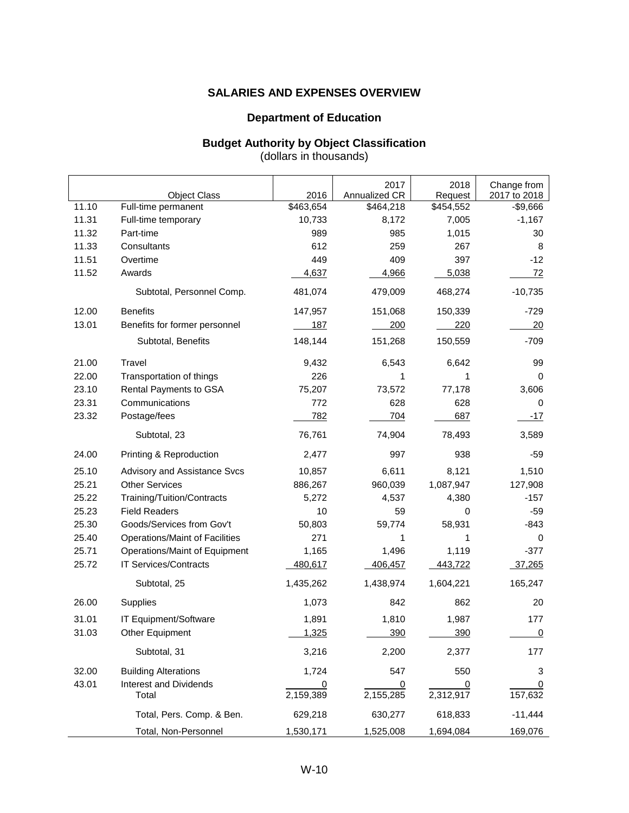#### **Department of Education**

#### **Budget Authority by Object Classification** (dollars in thousands)

<span id="page-10-0"></span>

|       | <b>Object Class</b>            | 2016       | 2017<br>Annualized CR | 2018<br>Request | Change from<br>2017 to 2018 |
|-------|--------------------------------|------------|-----------------------|-----------------|-----------------------------|
| 11.10 | Full-time permanent            | \$463,654  | \$464,218             | \$454,552       | $-$9,666$                   |
| 11.31 | Full-time temporary            | 10,733     | 8,172                 | 7,005           | $-1,167$                    |
| 11.32 | Part-time                      | 989        | 985                   | 1,015           | 30                          |
| 11.33 | Consultants                    | 612        | 259                   | 267             | 8                           |
| 11.51 | Overtime                       | 449        | 409                   | 397             | $-12$                       |
| 11.52 | Awards                         | 4,637      | 4,966                 | 5,038           | <u>72</u>                   |
|       | Subtotal, Personnel Comp.      | 481,074    | 479,009               | 468,274         | $-10,735$                   |
| 12.00 | <b>Benefits</b>                | 147,957    | 151,068               | 150,339         | $-729$                      |
| 13.01 | Benefits for former personnel  | <u>187</u> | 200                   | <u>220</u>      | 20                          |
|       | Subtotal, Benefits             | 148,144    | 151,268               | 150,559         | $-709$                      |
| 21.00 | Travel                         | 9,432      | 6,543                 | 6,642           | 99                          |
| 22.00 | Transportation of things       | 226        | 1                     | 1               | 0                           |
| 23.10 | Rental Payments to GSA         | 75,207     | 73,572                | 77,178          | 3,606                       |
| 23.31 | Communications                 | 772        | 628                   | 628             | 0                           |
| 23.32 | Postage/fees                   | <u>782</u> | <u>704</u>            | 687             | <u>-17</u>                  |
|       | Subtotal, 23                   | 76,761     | 74,904                | 78,493          | 3,589                       |
| 24.00 | Printing & Reproduction        | 2,477      | 997                   | 938             | $-59$                       |
| 25.10 | Advisory and Assistance Svcs   | 10,857     | 6,611                 | 8,121           | 1,510                       |
| 25.21 | <b>Other Services</b>          | 886,267    | 960,039               | 1,087,947       | 127,908                     |
| 25.22 | Training/Tuition/Contracts     | 5,272      | 4,537                 | 4,380           | $-157$                      |
| 25.23 | <b>Field Readers</b>           | 10         | 59                    | 0               | $-59$                       |
| 25.30 | Goods/Services from Gov't      | 50,803     | 59,774                | 58,931          | $-843$                      |
| 25.40 | Operations/Maint of Facilities | 271        | 1                     | 1               | 0                           |
| 25.71 | Operations/Maint of Equipment  | 1,165      | 1,496                 | 1,119           | $-377$                      |
| 25.72 | IT Services/Contracts          | 480,617    | 406,457               | 443,722         | 37,265                      |
|       | Subtotal, 25                   | 1,435,262  | 1,438,974             | 1,604,221       | 165,247                     |
| 26.00 | Supplies                       | 1,073      | 842                   | 862             | 20                          |
| 31.01 | IT Equipment/Software          | 1,891      | 1,810                 | 1,987           | 177                         |
| 31.03 | Other Equipment                | 1,325      | 390                   | 390             | 0                           |
|       | Subtotal, 31                   | 3,216      | 2,200                 | 2,377           | 177                         |
| 32.00 | <b>Building Alterations</b>    | 1,724      | 547                   | 550             | 3                           |
| 43.01 | <b>Interest and Dividends</b>  | 0          | 0                     | 0               | $\overline{0}$              |
|       | Total                          | 2,159,389  | 2,155,285             | 2,312,917       | 157,632                     |
|       | Total, Pers. Comp. & Ben.      | 629,218    | 630,277               | 618,833         | $-11,444$                   |
|       | Total, Non-Personnel           | 1,530,171  | 1,525,008             | 1,694,084       | 169,076                     |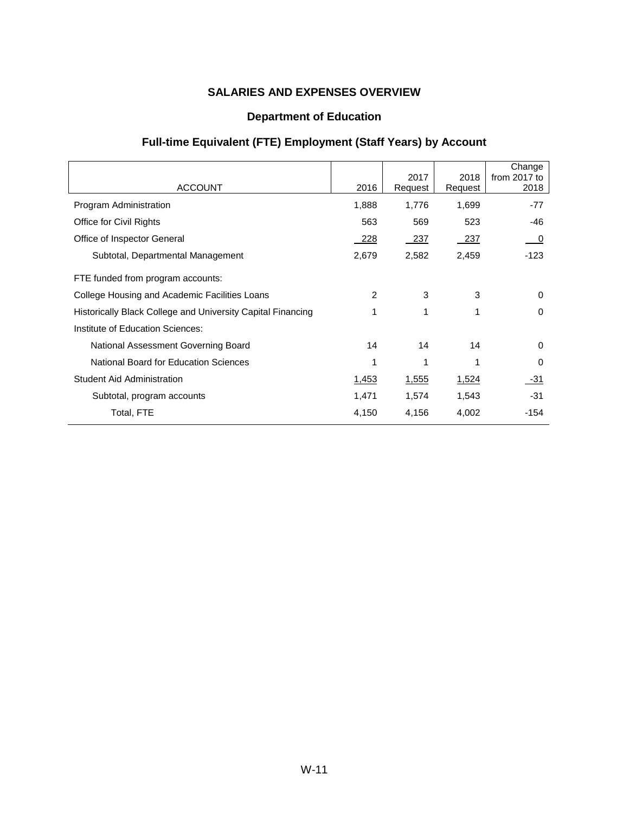## **Department of Education**

# **Full-time Equivalent (FTE) Employment (Staff Years) by Account**

<span id="page-11-0"></span>

| <b>ACCOUNT</b>                                              | 2016  | 2017<br>Request | 2018<br>Request | Change<br>from $2017$ to<br>2018 |
|-------------------------------------------------------------|-------|-----------------|-----------------|----------------------------------|
| Program Administration                                      | 1,888 | 1,776           | 1,699           | $-77$                            |
| Office for Civil Rights                                     | 563   | 569             | 523             | -46                              |
| Office of Inspector General                                 | - 228 | - 237           | - 237           | $\overline{\mathbf{0}}$          |
| Subtotal, Departmental Management                           | 2,679 | 2,582           | 2,459           | $-123$                           |
| FTE funded from program accounts:                           |       |                 |                 |                                  |
| College Housing and Academic Facilities Loans               | 2     | 3               | 3               | $\Omega$                         |
| Historically Black College and University Capital Financing | 1     | 1               | 1               | $\Omega$                         |
| Institute of Education Sciences:                            |       |                 |                 |                                  |
| National Assessment Governing Board                         | 14    | 14              | 14              | $\Omega$                         |
| National Board for Education Sciences                       | 1     | 1               |                 | $\Omega$                         |
| <b>Student Aid Administration</b>                           | 1,453 | 1,555           | 1,524           | -31                              |
| Subtotal, program accounts                                  | 1,471 | 1,574           | 1,543           | $-31$                            |
| Total, FTE                                                  | 4,150 | 4,156           | 4,002           | -154                             |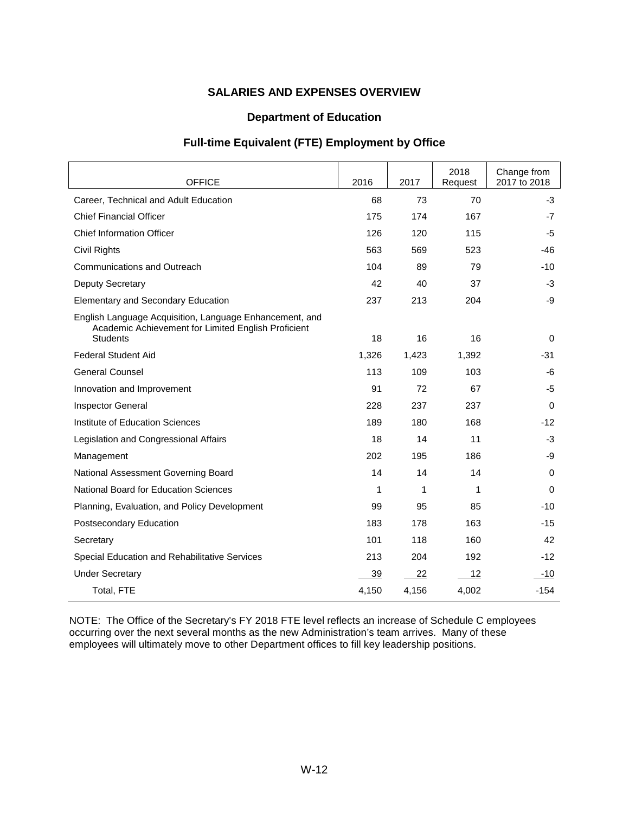#### **Department of Education**

#### **Full-time Equivalent (FTE) Employment by Office**

<span id="page-12-0"></span>

| <b>OFFICE</b>                                                                                                                     | 2016  | 2017  | 2018<br>Request | Change from<br>2017 to 2018 |
|-----------------------------------------------------------------------------------------------------------------------------------|-------|-------|-----------------|-----------------------------|
| Career. Technical and Adult Education                                                                                             | 68    | 73    | 70              | $-3$                        |
| <b>Chief Financial Officer</b>                                                                                                    | 175   | 174   | 167             | -7                          |
| <b>Chief Information Officer</b>                                                                                                  | 126   | 120   | 115             | -5                          |
| Civil Rights                                                                                                                      | 563   | 569   | 523             | -46                         |
| <b>Communications and Outreach</b>                                                                                                | 104   | 89    | 79              | $-10$                       |
| <b>Deputy Secretary</b>                                                                                                           | 42    | 40    | 37              | $-3$                        |
| Elementary and Secondary Education                                                                                                | 237   | 213   | 204             | -9                          |
| English Language Acquisition, Language Enhancement, and<br>Academic Achievement for Limited English Proficient<br><b>Students</b> | 18    | 16    | 16              | 0                           |
| <b>Federal Student Aid</b>                                                                                                        | 1,326 | 1,423 | 1,392           | -31                         |
| <b>General Counsel</b>                                                                                                            | 113   | 109   | 103             | -6                          |
| Innovation and Improvement                                                                                                        | 91    | 72    | 67              | -5                          |
| Inspector General                                                                                                                 | 228   | 237   | 237             | 0                           |
| Institute of Education Sciences                                                                                                   | 189   | 180   | 168             | $-12$                       |
| Legislation and Congressional Affairs                                                                                             | 18    | 14    | 11              | $-3$                        |
| Management                                                                                                                        | 202   | 195   | 186             | -9                          |
| National Assessment Governing Board                                                                                               | 14    | 14    | 14              | $\mathbf 0$                 |
| <b>National Board for Education Sciences</b>                                                                                      | 1     | 1     | 1               | $\mathbf 0$                 |
| Planning, Evaluation, and Policy Development                                                                                      | 99    | 95    | 85              | $-10$                       |
| Postsecondary Education                                                                                                           | 183   | 178   | 163             | -15                         |
| Secretary                                                                                                                         | 101   | 118   | 160             | 42                          |
| Special Education and Rehabilitative Services                                                                                     | 213   | 204   | 192             | -12                         |
| <b>Under Secretary</b>                                                                                                            | 39    | 22    | 12              | $-10$                       |
| Total, FTE                                                                                                                        | 4,150 | 4,156 | 4,002           | $-154$                      |

NOTE: The Office of the Secretary's FY 2018 FTE level reflects an increase of Schedule C employees occurring over the next several months as the new Administration's team arrives. Many of these employees will ultimately move to other Department offices to fill key leadership positions.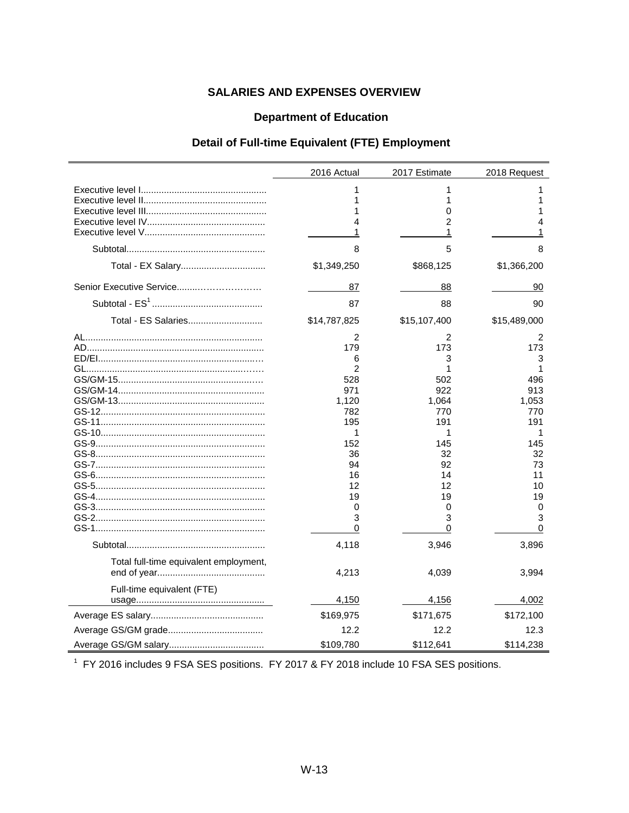## **Department of Education**

## Detail of Full-time Equivalent (FTE) Employment

<span id="page-13-2"></span><span id="page-13-0"></span>

|                                        | 2016 Actual                                                                                                      | 2017 Estimate                                                                                                    | 2018 Request                                                                                                     |
|----------------------------------------|------------------------------------------------------------------------------------------------------------------|------------------------------------------------------------------------------------------------------------------|------------------------------------------------------------------------------------------------------------------|
|                                        | 1<br>1<br>1<br>4<br>1                                                                                            | 1<br>1<br>0<br>$\mathfrak{p}$<br>1                                                                               | 1<br>1<br>1<br>4<br>1                                                                                            |
|                                        | 8                                                                                                                | 5                                                                                                                | 8                                                                                                                |
|                                        | \$1,349,250                                                                                                      | \$868,125                                                                                                        | \$1,366,200                                                                                                      |
| Senior Executive Service               | 87                                                                                                               | 88                                                                                                               | 90                                                                                                               |
|                                        | 87                                                                                                               | 88                                                                                                               | 90                                                                                                               |
| Total - ES Salaries                    | \$14,787,825                                                                                                     | \$15,107,400                                                                                                     | \$15,489,000                                                                                                     |
|                                        | 2<br>179<br>6<br>2<br>528<br>971<br>1,120<br>782<br>195<br>1<br>152<br>36<br>94<br>16<br>12<br>19<br>0<br>3<br>0 | 2<br>173<br>3<br>1<br>502<br>922<br>1,064<br>770<br>191<br>1<br>145<br>32<br>92<br>14<br>12<br>19<br>0<br>3<br>0 | 2<br>173<br>3<br>1<br>496<br>913<br>1,053<br>770<br>191<br>1<br>145<br>32<br>73<br>11<br>10<br>19<br>0<br>3<br>0 |
|                                        | 4,118                                                                                                            | 3,946                                                                                                            | 3,896                                                                                                            |
| Total full-time equivalent employment, | 4,213                                                                                                            | 4,039                                                                                                            | 3,994                                                                                                            |
| Full-time equivalent (FTE)             | 4,150                                                                                                            | <u>4,156</u>                                                                                                     | 4,002                                                                                                            |
|                                        | \$169,975                                                                                                        | \$171,675                                                                                                        | \$172,100                                                                                                        |
|                                        | 12.2                                                                                                             | 12.2                                                                                                             | 12.3                                                                                                             |
|                                        | \$109,780                                                                                                        | \$112,641                                                                                                        | \$114,238                                                                                                        |

<span id="page-13-1"></span><sup>1</sup> FY 2016 includes 9 FSA SES positions. FY 2017 & FY 2018 include 10 FSA SES positions.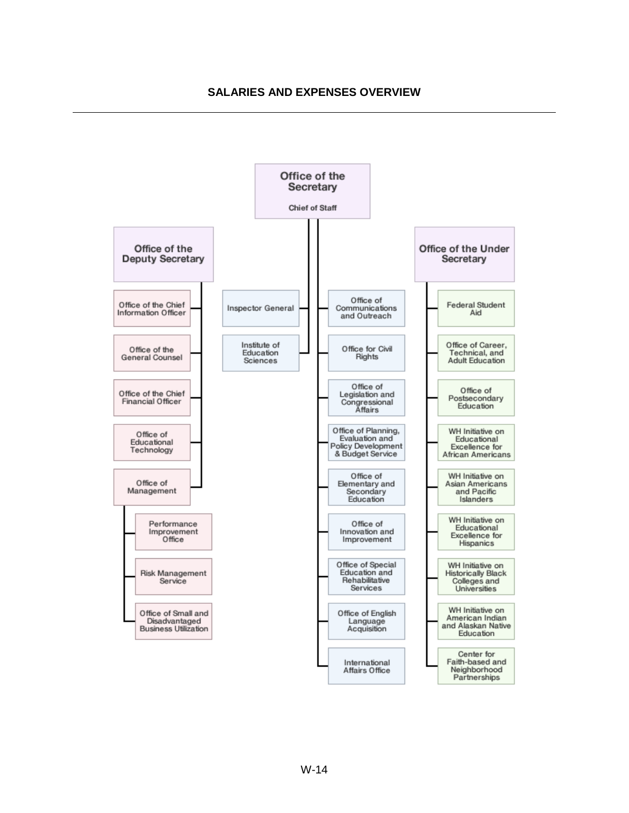<span id="page-14-0"></span>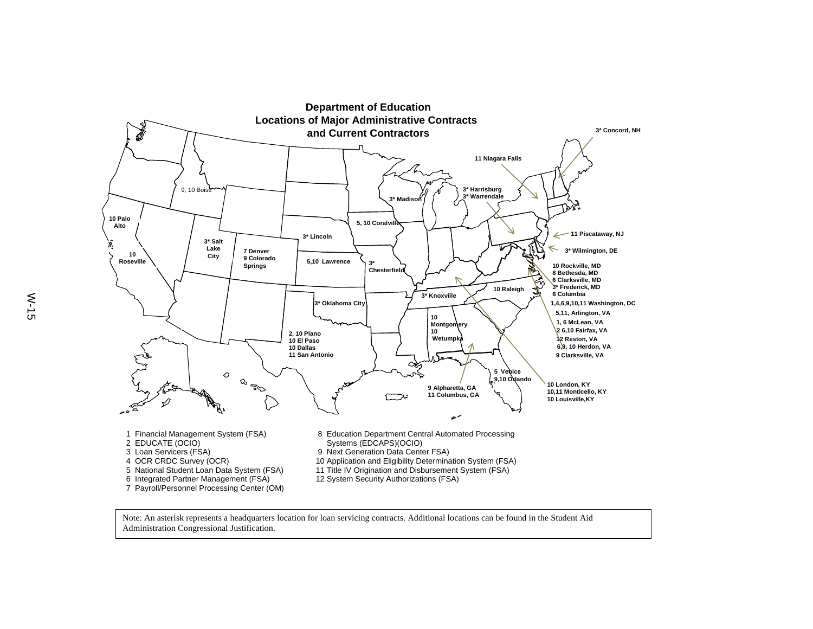<span id="page-15-0"></span>

Note: An asterisk represents a headquarters location for loan servicing contracts. Additional locations can be found in the Student Aid Administration Congressional Justification.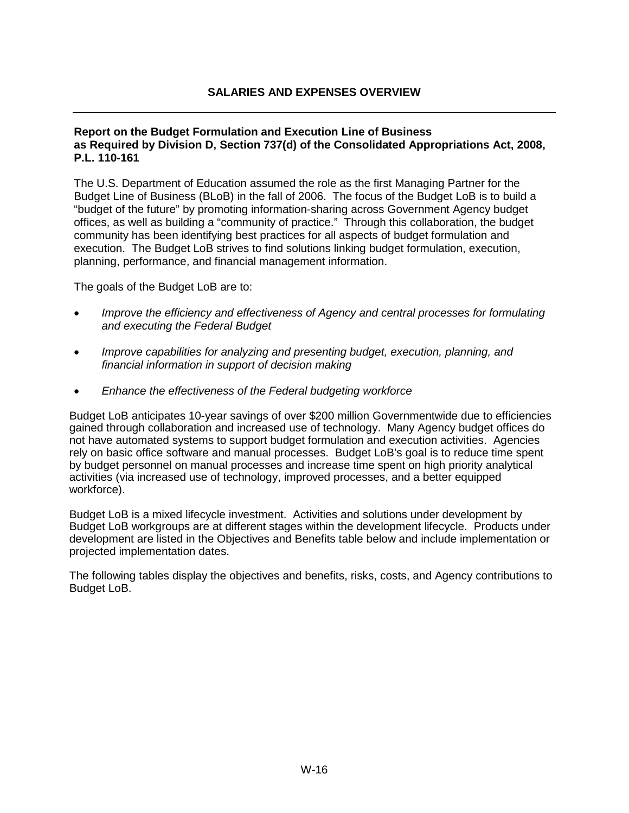#### <span id="page-16-0"></span>**Report on the Budget Formulation and Execution Line of Business as Required by Division D, Section 737(d) of the Consolidated Appropriations Act, 2008, P.L. 110-161**

The U.S. Department of Education assumed the role as the first Managing Partner for the Budget Line of Business (BLoB) in the fall of 2006. The focus of the Budget LoB is to build a "budget of the future" by promoting information-sharing across Government Agency budget offices, as well as building a "community of practice." Through this collaboration, the budget community has been identifying best practices for all aspects of budget formulation and execution. The Budget LoB strives to find solutions linking budget formulation, execution, planning, performance, and financial management information.

The goals of the Budget LoB are to:

- *Improve the efficiency and effectiveness of Agency and central processes for formulating and executing the Federal Budget*
- *Improve capabilities for analyzing and presenting budget, execution, planning, and financial information in support of decision making*
- *Enhance the effectiveness of the Federal budgeting workforce*

Budget LoB anticipates 10-year savings of over \$200 million Governmentwide due to efficiencies gained through collaboration and increased use of technology. Many Agency budget offices do not have automated systems to support budget formulation and execution activities. Agencies rely on basic office software and manual processes. Budget LoB's goal is to reduce time spent by budget personnel on manual processes and increase time spent on high priority analytical activities (via increased use of technology, improved processes, and a better equipped workforce).

Budget LoB is a mixed lifecycle investment. Activities and solutions under development by Budget LoB workgroups are at different stages within the development lifecycle. Products under development are listed in the Objectives and Benefits table below and include implementation or projected implementation dates.

The following tables display the objectives and benefits, risks, costs, and Agency contributions to Budget LoB.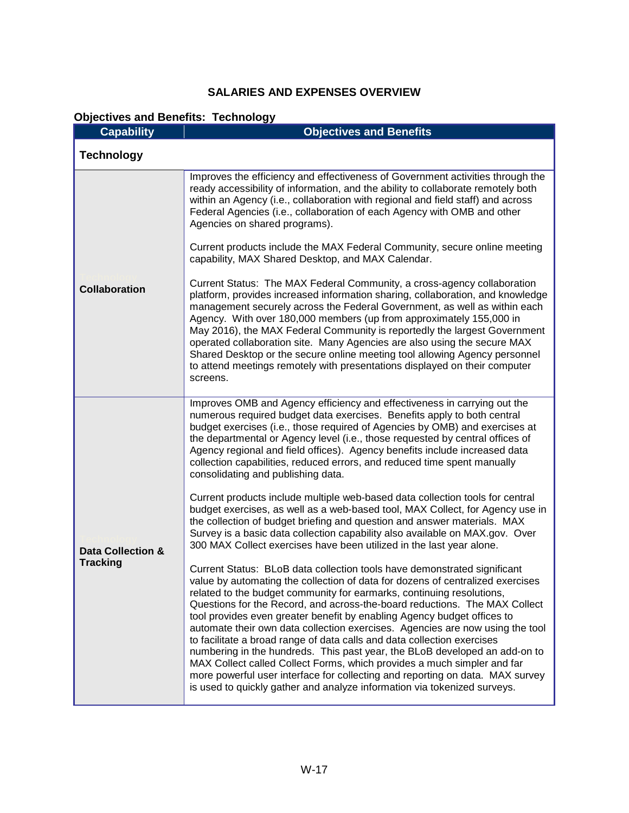# **Objectives and Benefits: Technology**

| <b>Capability</b>                               | <b>Objectives and Benefits</b>                                                                                                                                                                                                                                                                                                                                                                                                                                                                                                                                                                                                                                                                                                                                                                                                                                                                                                                                                                                                                                                                                                                        |
|-------------------------------------------------|-------------------------------------------------------------------------------------------------------------------------------------------------------------------------------------------------------------------------------------------------------------------------------------------------------------------------------------------------------------------------------------------------------------------------------------------------------------------------------------------------------------------------------------------------------------------------------------------------------------------------------------------------------------------------------------------------------------------------------------------------------------------------------------------------------------------------------------------------------------------------------------------------------------------------------------------------------------------------------------------------------------------------------------------------------------------------------------------------------------------------------------------------------|
| <b>Technology</b>                               |                                                                                                                                                                                                                                                                                                                                                                                                                                                                                                                                                                                                                                                                                                                                                                                                                                                                                                                                                                                                                                                                                                                                                       |
| <b>Collaboration</b>                            | Improves the efficiency and effectiveness of Government activities through the<br>ready accessibility of information, and the ability to collaborate remotely both<br>within an Agency (i.e., collaboration with regional and field staff) and across<br>Federal Agencies (i.e., collaboration of each Agency with OMB and other<br>Agencies on shared programs).<br>Current products include the MAX Federal Community, secure online meeting<br>capability, MAX Shared Desktop, and MAX Calendar.<br>Current Status: The MAX Federal Community, a cross-agency collaboration<br>platform, provides increased information sharing, collaboration, and knowledge<br>management securely across the Federal Government, as well as within each<br>Agency. With over 180,000 members (up from approximately 155,000 in<br>May 2016), the MAX Federal Community is reportedly the largest Government<br>operated collaboration site. Many Agencies are also using the secure MAX<br>Shared Desktop or the secure online meeting tool allowing Agency personnel<br>to attend meetings remotely with presentations displayed on their computer<br>screens. |
| <b>Data Collection &amp;</b><br><b>Tracking</b> | Improves OMB and Agency efficiency and effectiveness in carrying out the<br>numerous required budget data exercises. Benefits apply to both central                                                                                                                                                                                                                                                                                                                                                                                                                                                                                                                                                                                                                                                                                                                                                                                                                                                                                                                                                                                                   |
|                                                 | budget exercises (i.e., those required of Agencies by OMB) and exercises at<br>the departmental or Agency level (i.e., those requested by central offices of<br>Agency regional and field offices). Agency benefits include increased data<br>collection capabilities, reduced errors, and reduced time spent manually<br>consolidating and publishing data.                                                                                                                                                                                                                                                                                                                                                                                                                                                                                                                                                                                                                                                                                                                                                                                          |
|                                                 | Current products include multiple web-based data collection tools for central<br>budget exercises, as well as a web-based tool, MAX Collect, for Agency use in<br>the collection of budget briefing and question and answer materials. MAX<br>Survey is a basic data collection capability also available on MAX.gov. Over<br>300 MAX Collect exercises have been utilized in the last year alone.                                                                                                                                                                                                                                                                                                                                                                                                                                                                                                                                                                                                                                                                                                                                                    |
|                                                 | Current Status: BLoB data collection tools have demonstrated significant<br>value by automating the collection of data for dozens of centralized exercises<br>related to the budget community for earmarks, continuing resolutions,<br>Questions for the Record, and across-the-board reductions. The MAX Collect<br>tool provides even greater benefit by enabling Agency budget offices to<br>automate their own data collection exercises. Agencies are now using the tool<br>to facilitate a broad range of data calls and data collection exercises<br>numbering in the hundreds. This past year, the BLoB developed an add-on to<br>MAX Collect called Collect Forms, which provides a much simpler and far<br>more powerful user interface for collecting and reporting on data. MAX survey<br>is used to quickly gather and analyze information via tokenized surveys.                                                                                                                                                                                                                                                                        |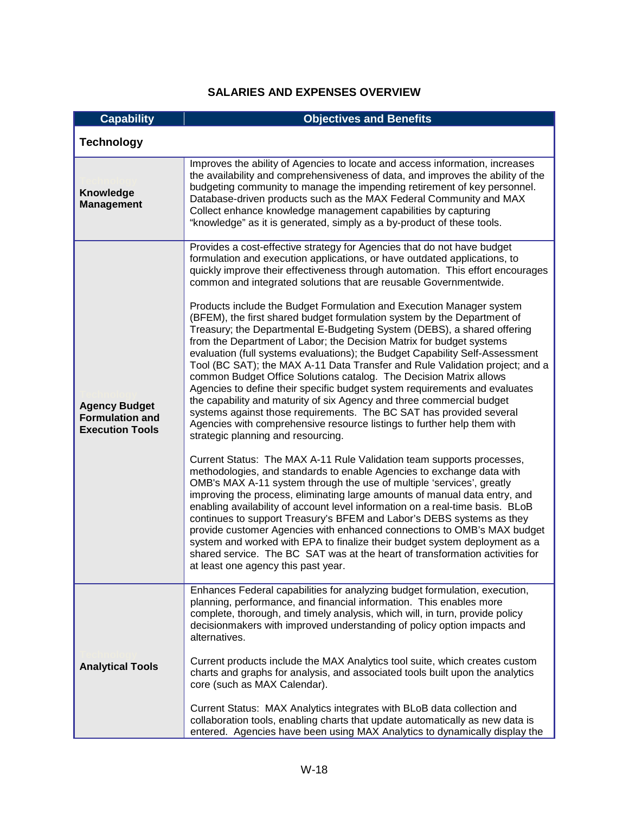| <b>Capability</b>                                                        | <b>Objectives and Benefits</b>                                                                                                                                                                                                                                                                                                                                                                                                                                                                                                                                                                                                                                                                                                                                                                                                                                                                                                                                                                                                                                                                                                                                                                                                                                                                                                                                                                                                                                                                                                                                                                                                                                                                                                                                                                                                                                                                                                                            |
|--------------------------------------------------------------------------|-----------------------------------------------------------------------------------------------------------------------------------------------------------------------------------------------------------------------------------------------------------------------------------------------------------------------------------------------------------------------------------------------------------------------------------------------------------------------------------------------------------------------------------------------------------------------------------------------------------------------------------------------------------------------------------------------------------------------------------------------------------------------------------------------------------------------------------------------------------------------------------------------------------------------------------------------------------------------------------------------------------------------------------------------------------------------------------------------------------------------------------------------------------------------------------------------------------------------------------------------------------------------------------------------------------------------------------------------------------------------------------------------------------------------------------------------------------------------------------------------------------------------------------------------------------------------------------------------------------------------------------------------------------------------------------------------------------------------------------------------------------------------------------------------------------------------------------------------------------------------------------------------------------------------------------------------------------|
| <b>Technology</b>                                                        |                                                                                                                                                                                                                                                                                                                                                                                                                                                                                                                                                                                                                                                                                                                                                                                                                                                                                                                                                                                                                                                                                                                                                                                                                                                                                                                                                                                                                                                                                                                                                                                                                                                                                                                                                                                                                                                                                                                                                           |
| Knowledge<br><b>Management</b>                                           | Improves the ability of Agencies to locate and access information, increases<br>the availability and comprehensiveness of data, and improves the ability of the<br>budgeting community to manage the impending retirement of key personnel.<br>Database-driven products such as the MAX Federal Community and MAX<br>Collect enhance knowledge management capabilities by capturing<br>"knowledge" as it is generated, simply as a by-product of these tools.                                                                                                                                                                                                                                                                                                                                                                                                                                                                                                                                                                                                                                                                                                                                                                                                                                                                                                                                                                                                                                                                                                                                                                                                                                                                                                                                                                                                                                                                                             |
| <b>Agency Budget</b><br><b>Formulation and</b><br><b>Execution Tools</b> | Provides a cost-effective strategy for Agencies that do not have budget<br>formulation and execution applications, or have outdated applications, to<br>quickly improve their effectiveness through automation. This effort encourages<br>common and integrated solutions that are reusable Governmentwide.<br>Products include the Budget Formulation and Execution Manager system<br>(BFEM), the first shared budget formulation system by the Department of<br>Treasury; the Departmental E-Budgeting System (DEBS), a shared offering<br>from the Department of Labor; the Decision Matrix for budget systems<br>evaluation (full systems evaluations); the Budget Capability Self-Assessment<br>Tool (BC SAT); the MAX A-11 Data Transfer and Rule Validation project; and a<br>common Budget Office Solutions catalog. The Decision Matrix allows<br>Agencies to define their specific budget system requirements and evaluates<br>the capability and maturity of six Agency and three commercial budget<br>systems against those requirements. The BC SAT has provided several<br>Agencies with comprehensive resource listings to further help them with<br>strategic planning and resourcing.<br>Current Status: The MAX A-11 Rule Validation team supports processes,<br>methodologies, and standards to enable Agencies to exchange data with<br>OMB's MAX A-11 system through the use of multiple 'services', greatly<br>improving the process, eliminating large amounts of manual data entry, and<br>enabling availability of account level information on a real-time basis. BLoB<br>continues to support Treasury's BFEM and Labor's DEBS systems as they<br>provide customer Agencies with enhanced connections to OMB's MAX budget<br>system and worked with EPA to finalize their budget system deployment as a<br>shared service. The BC SAT was at the heart of transformation activities for<br>at least one agency this past year. |
| <b>Analytical Tools</b>                                                  | Enhances Federal capabilities for analyzing budget formulation, execution,<br>planning, performance, and financial information. This enables more<br>complete, thorough, and timely analysis, which will, in turn, provide policy<br>decisionmakers with improved understanding of policy option impacts and<br>alternatives.<br>Current products include the MAX Analytics tool suite, which creates custom<br>charts and graphs for analysis, and associated tools built upon the analytics<br>core (such as MAX Calendar).                                                                                                                                                                                                                                                                                                                                                                                                                                                                                                                                                                                                                                                                                                                                                                                                                                                                                                                                                                                                                                                                                                                                                                                                                                                                                                                                                                                                                             |
|                                                                          | Current Status: MAX Analytics integrates with BLoB data collection and<br>collaboration tools, enabling charts that update automatically as new data is<br>entered. Agencies have been using MAX Analytics to dynamically display the                                                                                                                                                                                                                                                                                                                                                                                                                                                                                                                                                                                                                                                                                                                                                                                                                                                                                                                                                                                                                                                                                                                                                                                                                                                                                                                                                                                                                                                                                                                                                                                                                                                                                                                     |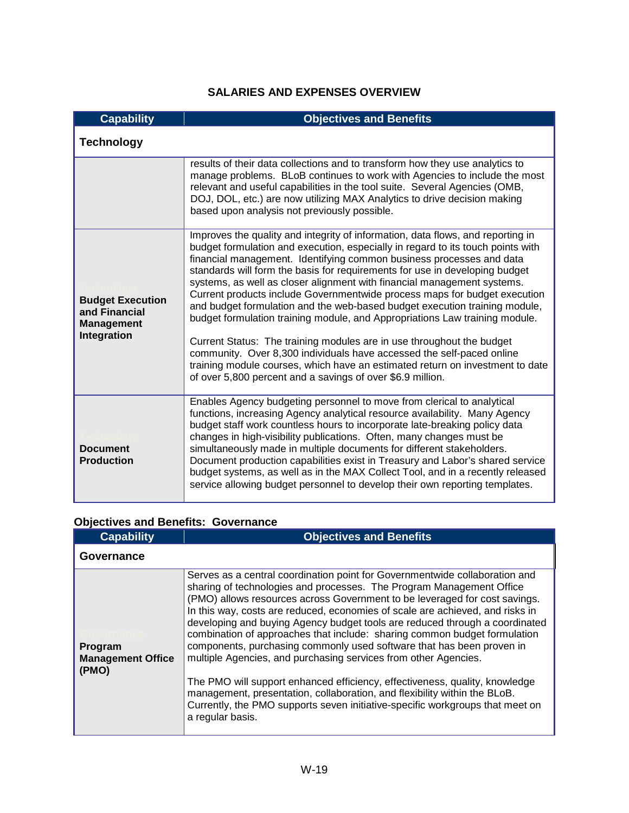| <b>Capability</b>                                                            | <b>Objectives and Benefits</b>                                                                                                                                                                                                                                                                                                                                                                                                                                                                                                                                                                                                                                                                                                                                                                                                                                                                                                                  |
|------------------------------------------------------------------------------|-------------------------------------------------------------------------------------------------------------------------------------------------------------------------------------------------------------------------------------------------------------------------------------------------------------------------------------------------------------------------------------------------------------------------------------------------------------------------------------------------------------------------------------------------------------------------------------------------------------------------------------------------------------------------------------------------------------------------------------------------------------------------------------------------------------------------------------------------------------------------------------------------------------------------------------------------|
| <b>Technology</b>                                                            |                                                                                                                                                                                                                                                                                                                                                                                                                                                                                                                                                                                                                                                                                                                                                                                                                                                                                                                                                 |
|                                                                              | results of their data collections and to transform how they use analytics to<br>manage problems. BLoB continues to work with Agencies to include the most<br>relevant and useful capabilities in the tool suite. Several Agencies (OMB,<br>DOJ, DOL, etc.) are now utilizing MAX Analytics to drive decision making<br>based upon analysis not previously possible.                                                                                                                                                                                                                                                                                                                                                                                                                                                                                                                                                                             |
| <b>Budget Execution</b><br>and Financial<br><b>Management</b><br>Integration | Improves the quality and integrity of information, data flows, and reporting in<br>budget formulation and execution, especially in regard to its touch points with<br>financial management. Identifying common business processes and data<br>standards will form the basis for requirements for use in developing budget<br>systems, as well as closer alignment with financial management systems.<br>Current products include Governmentwide process maps for budget execution<br>and budget formulation and the web-based budget execution training module,<br>budget formulation training module, and Appropriations Law training module.<br>Current Status: The training modules are in use throughout the budget<br>community. Over 8,300 individuals have accessed the self-paced online<br>training module courses, which have an estimated return on investment to date<br>of over 5,800 percent and a savings of over \$6.9 million. |
| <b>Document</b><br><b>Production</b>                                         | Enables Agency budgeting personnel to move from clerical to analytical<br>functions, increasing Agency analytical resource availability. Many Agency<br>budget staff work countless hours to incorporate late-breaking policy data<br>changes in high-visibility publications. Often, many changes must be<br>simultaneously made in multiple documents for different stakeholders.<br>Document production capabilities exist in Treasury and Labor's shared service<br>budget systems, as well as in the MAX Collect Tool, and in a recently released<br>service allowing budget personnel to develop their own reporting templates.                                                                                                                                                                                                                                                                                                           |

# **Objectives and Benefits: Governance**

| <b>Capability</b>                            | <b>Objectives and Benefits</b>                                                                                                                                                                                                                                                                                                                                                                                                                                                                                                                                                                                                                                                                                                                                                                                                                                                              |
|----------------------------------------------|---------------------------------------------------------------------------------------------------------------------------------------------------------------------------------------------------------------------------------------------------------------------------------------------------------------------------------------------------------------------------------------------------------------------------------------------------------------------------------------------------------------------------------------------------------------------------------------------------------------------------------------------------------------------------------------------------------------------------------------------------------------------------------------------------------------------------------------------------------------------------------------------|
| Governance                                   |                                                                                                                                                                                                                                                                                                                                                                                                                                                                                                                                                                                                                                                                                                                                                                                                                                                                                             |
| Program<br><b>Management Office</b><br>(PMO) | Serves as a central coordination point for Governmentwide collaboration and<br>sharing of technologies and processes. The Program Management Office<br>(PMO) allows resources across Government to be leveraged for cost savings.<br>In this way, costs are reduced, economies of scale are achieved, and risks in<br>developing and buying Agency budget tools are reduced through a coordinated<br>combination of approaches that include: sharing common budget formulation<br>components, purchasing commonly used software that has been proven in<br>multiple Agencies, and purchasing services from other Agencies.<br>The PMO will support enhanced efficiency, effectiveness, quality, knowledge<br>management, presentation, collaboration, and flexibility within the BLoB.<br>Currently, the PMO supports seven initiative-specific workgroups that meet on<br>a regular basis. |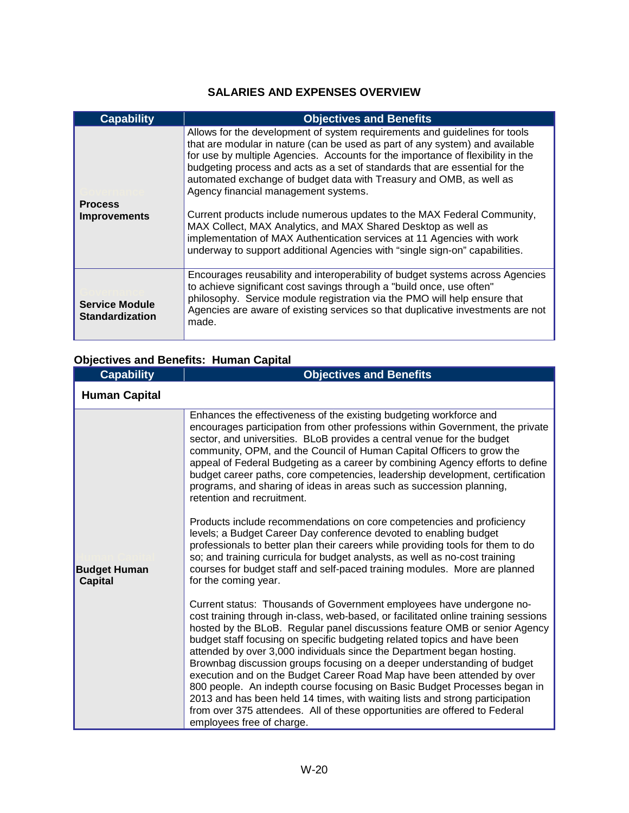| <b>Capability</b>                               | <b>Objectives and Benefits</b>                                                                                                                                                                                                                                                                                                                                                                                                                                                                                                                                                                                                                                                                                                                   |
|-------------------------------------------------|--------------------------------------------------------------------------------------------------------------------------------------------------------------------------------------------------------------------------------------------------------------------------------------------------------------------------------------------------------------------------------------------------------------------------------------------------------------------------------------------------------------------------------------------------------------------------------------------------------------------------------------------------------------------------------------------------------------------------------------------------|
| <b>Process</b><br><b>Improvements</b>           | Allows for the development of system requirements and guidelines for tools<br>that are modular in nature (can be used as part of any system) and available<br>for use by multiple Agencies. Accounts for the importance of flexibility in the<br>budgeting process and acts as a set of standards that are essential for the<br>automated exchange of budget data with Treasury and OMB, as well as<br>Agency financial management systems.<br>Current products include numerous updates to the MAX Federal Community,<br>MAX Collect, MAX Analytics, and MAX Shared Desktop as well as<br>implementation of MAX Authentication services at 11 Agencies with work<br>underway to support additional Agencies with "single sign-on" capabilities. |
| <b>Service Module</b><br><b>Standardization</b> | Encourages reusability and interoperability of budget systems across Agencies<br>to achieve significant cost savings through a "build once, use often"<br>philosophy. Service module registration via the PMO will help ensure that<br>Agencies are aware of existing services so that duplicative investments are not<br>made.                                                                                                                                                                                                                                                                                                                                                                                                                  |

# **Objectives and Benefits: Human Capital**

| <b>Capability</b>                     | <b>Objectives and Benefits</b>                                                                                                                                                                                                                                                                                                                                                                                                                                                                                                                                                                                                                                                                                                                                                                                              |
|---------------------------------------|-----------------------------------------------------------------------------------------------------------------------------------------------------------------------------------------------------------------------------------------------------------------------------------------------------------------------------------------------------------------------------------------------------------------------------------------------------------------------------------------------------------------------------------------------------------------------------------------------------------------------------------------------------------------------------------------------------------------------------------------------------------------------------------------------------------------------------|
| <b>Human Capital</b>                  |                                                                                                                                                                                                                                                                                                                                                                                                                                                                                                                                                                                                                                                                                                                                                                                                                             |
| <b>Budget Human</b><br><b>Capital</b> | Enhances the effectiveness of the existing budgeting workforce and<br>encourages participation from other professions within Government, the private<br>sector, and universities. BLoB provides a central venue for the budget<br>community, OPM, and the Council of Human Capital Officers to grow the<br>appeal of Federal Budgeting as a career by combining Agency efforts to define<br>budget career paths, core competencies, leadership development, certification<br>programs, and sharing of ideas in areas such as succession planning,<br>retention and recruitment.                                                                                                                                                                                                                                             |
|                                       | Products include recommendations on core competencies and proficiency<br>levels; a Budget Career Day conference devoted to enabling budget<br>professionals to better plan their careers while providing tools for them to do<br>so; and training curricula for budget analysts, as well as no-cost training<br>courses for budget staff and self-paced training modules. More are planned<br>for the coming year.                                                                                                                                                                                                                                                                                                                                                                                                          |
|                                       | Current status: Thousands of Government employees have undergone no-<br>cost training through in-class, web-based, or facilitated online training sessions<br>hosted by the BLoB. Regular panel discussions feature OMB or senior Agency<br>budget staff focusing on specific budgeting related topics and have been<br>attended by over 3,000 individuals since the Department began hosting.<br>Brownbag discussion groups focusing on a deeper understanding of budget<br>execution and on the Budget Career Road Map have been attended by over<br>800 people. An indepth course focusing on Basic Budget Processes began in<br>2013 and has been held 14 times, with waiting lists and strong participation<br>from over 375 attendees. All of these opportunities are offered to Federal<br>employees free of charge. |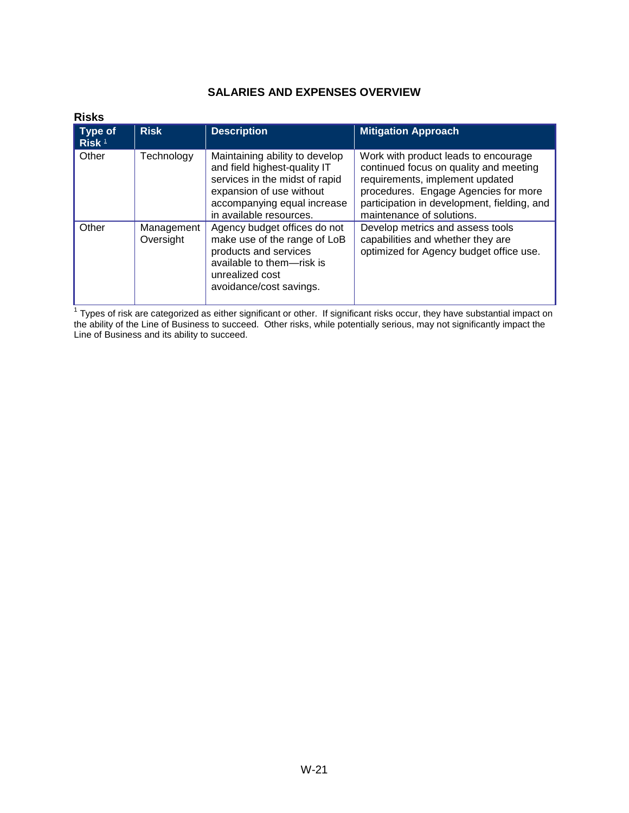<span id="page-21-1"></span>

| <b>Risks</b>                 |                         |                                                                                                                                                                                        |                                                                                                                                                                                                                                       |
|------------------------------|-------------------------|----------------------------------------------------------------------------------------------------------------------------------------------------------------------------------------|---------------------------------------------------------------------------------------------------------------------------------------------------------------------------------------------------------------------------------------|
| Type of<br>Risk <sup>1</sup> | <b>Risk</b>             | <b>Description</b>                                                                                                                                                                     | <b>Mitigation Approach</b>                                                                                                                                                                                                            |
| Other                        | Technology              | Maintaining ability to develop<br>and field highest-quality IT<br>services in the midst of rapid<br>expansion of use without<br>accompanying equal increase<br>in available resources. | Work with product leads to encourage<br>continued focus on quality and meeting<br>requirements, implement updated<br>procedures. Engage Agencies for more<br>participation in development, fielding, and<br>maintenance of solutions. |
| Other                        | Management<br>Oversight | Agency budget offices do not<br>make use of the range of LoB<br>products and services<br>available to them-risk is<br>unrealized cost<br>avoidance/cost savings.                       | Develop metrics and assess tools<br>capabilities and whether they are<br>optimized for Agency budget office use.                                                                                                                      |

<span id="page-21-0"></span> $1$  Types of risk are categorized as either significant or other. If significant risks occur, they have substantial impact on the ability of the Line of Business to succeed. Other risks, while potentially serious, may not significantly impact the Line of Business and its ability to succeed.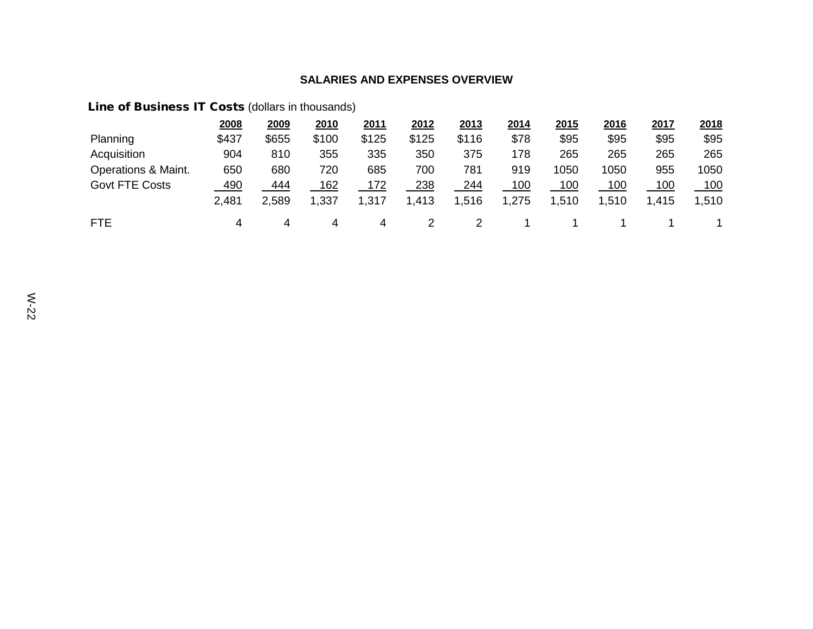# Line of Business IT Costs (dollars in thousands)

|                       | 2008       | 2009  | 2010       | 2011  | 2012       | 2013  | 2014  | 2015        | 2016        | 2017       | 2018 |
|-----------------------|------------|-------|------------|-------|------------|-------|-------|-------------|-------------|------------|------|
| Planning              | \$437      | \$655 | \$100      | \$125 | \$125      | \$116 | \$78  | \$95        | \$95        | \$95       | \$95 |
| Acquisition           | 904        | 810   | 355        | 335   | 350        | 375   | 178   | 265         | 265         | 265        | 265  |
| Operations & Maint.   | 650        | 680   | 720        | 685   | 700        | 781   | 919   | 1050        | 1050        | 955        | 1050 |
| <b>Govt FTE Costs</b> | <u>490</u> | 444   | <u>162</u> | 172   | <u>238</u> | 244   | 100   | <u> 100</u> | <u> 100</u> | <u>100</u> | 100  |
|                       | 2,481      | 2,589 | 1,337      | 1,317 | 1,413      | 1,516 | 1,275 | 1,510       | 1,510       | 1,415      | ,510 |
| <b>FTE</b>            | 4          | 4     | 4          | 4     |            |       |       |             |             |            |      |